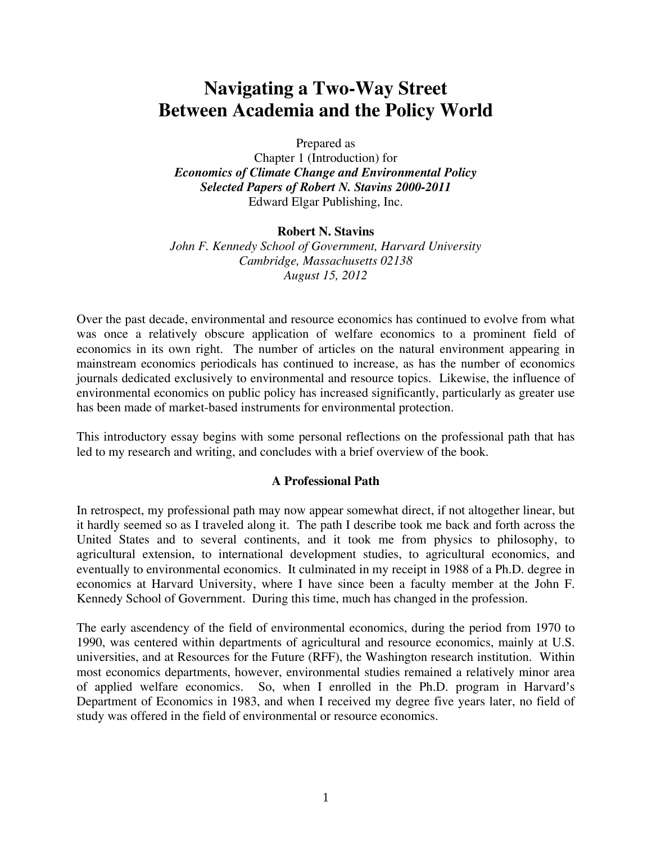# **Navigating a Two-Way Street Between Academia and the Policy World**

Prepared as

Chapter 1 (Introduction) for *Economics of Climate Change and Environmental Policy Selected Papers of Robert N. Stavins 2000-2011* Edward Elgar Publishing, Inc.

#### **Robert N. Stavins**

*John F. Kennedy School of Government, Harvard University Cambridge, Massachusetts 02138 August 15, 2012*

Over the past decade, environmental and resource economics has continued to evolve from what was once a relatively obscure application of welfare economics to a prominent field of economics in its own right. The number of articles on the natural environment appearing in mainstream economics periodicals has continued to increase, as has the number of economics journals dedicated exclusively to environmental and resource topics. Likewise, the influence of environmental economics on public policy has increased significantly, particularly as greater use has been made of market-based instruments for environmental protection.

This introductory essay begins with some personal reflections on the professional path that has led to my research and writing, and concludes with a brief overview of the book.

#### **A Professional Path**

In retrospect, my professional path may now appear somewhat direct, if not altogether linear, but it hardly seemed so as I traveled along it. The path I describe took me back and forth across the United States and to several continents, and it took me from physics to philosophy, to agricultural extension, to international development studies, to agricultural economics, and eventually to environmental economics. It culminated in my receipt in 1988 of a Ph.D. degree in economics at Harvard University, where I have since been a faculty member at the John F. Kennedy School of Government. During this time, much has changed in the profession.

The early ascendency of the field of environmental economics, during the period from 1970 to 1990, was centered within departments of agricultural and resource economics, mainly at U.S. universities, and at Resources for the Future (RFF), the Washington research institution. Within most economics departments, however, environmental studies remained a relatively minor area of applied welfare economics. So, when I enrolled in the Ph.D. program in Harvard's Department of Economics in 1983, and when I received my degree five years later, no field of study was offered in the field of environmental or resource economics.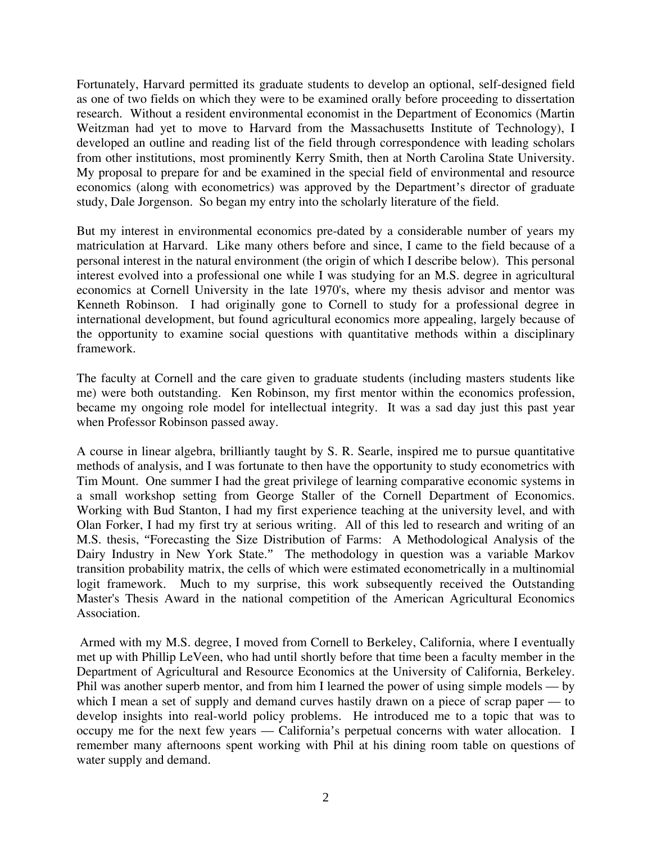Fortunately, Harvard permitted its graduate students to develop an optional, self-designed field as one of two fields on which they were to be examined orally before proceeding to dissertation research. Without a resident environmental economist in the Department of Economics (Martin Weitzman had yet to move to Harvard from the Massachusetts Institute of Technology), I developed an outline and reading list of the field through correspondence with leading scholars from other institutions, most prominently Kerry Smith, then at North Carolina State University. My proposal to prepare for and be examined in the special field of environmental and resource economics (along with econometrics) was approved by the Department's director of graduate study, Dale Jorgenson. So began my entry into the scholarly literature of the field.

But my interest in environmental economics pre-dated by a considerable number of years my matriculation at Harvard. Like many others before and since, I came to the field because of a personal interest in the natural environment (the origin of which I describe below). This personal interest evolved into a professional one while I was studying for an M.S. degree in agricultural economics at Cornell University in the late 1970's, where my thesis advisor and mentor was Kenneth Robinson. I had originally gone to Cornell to study for a professional degree in international development, but found agricultural economics more appealing, largely because of the opportunity to examine social questions with quantitative methods within a disciplinary framework.

The faculty at Cornell and the care given to graduate students (including masters students like me) were both outstanding. Ken Robinson, my first mentor within the economics profession, became my ongoing role model for intellectual integrity. It was a sad day just this past year when Professor Robinson passed away.

A course in linear algebra, brilliantly taught by S. R. Searle, inspired me to pursue quantitative methods of analysis, and I was fortunate to then have the opportunity to study econometrics with Tim Mount. One summer I had the great privilege of learning comparative economic systems in a small workshop setting from George Staller of the Cornell Department of Economics. Working with Bud Stanton, I had my first experience teaching at the university level, and with Olan Forker, I had my first try at serious writing. All of this led to research and writing of an M.S. thesis, "Forecasting the Size Distribution of Farms: A Methodological Analysis of the Dairy Industry in New York State." The methodology in question was a variable Markov transition probability matrix, the cells of which were estimated econometrically in a multinomial logit framework. Much to my surprise, this work subsequently received the Outstanding Master's Thesis Award in the national competition of the American Agricultural Economics Association.

 Armed with my M.S. degree, I moved from Cornell to Berkeley, California, where I eventually met up with Phillip LeVeen, who had until shortly before that time been a faculty member in the Department of Agricultural and Resource Economics at the University of California, Berkeley. Phil was another superb mentor, and from him I learned the power of using simple models — by which I mean a set of supply and demand curves hastily drawn on a piece of scrap paper — to develop insights into real-world policy problems. He introduced me to a topic that was to occupy me for the next few years — California's perpetual concerns with water allocation. I remember many afternoons spent working with Phil at his dining room table on questions of water supply and demand.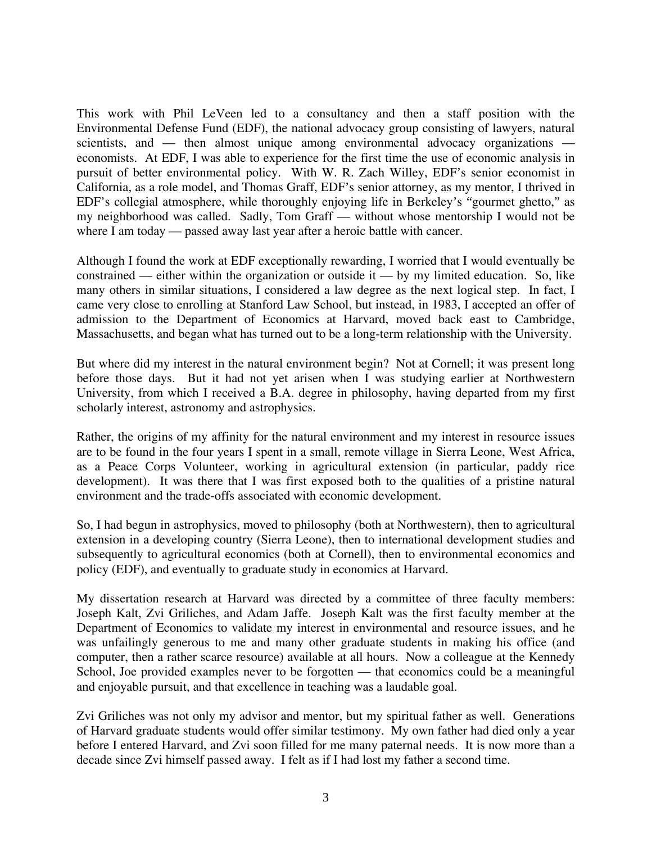This work with Phil LeVeen led to a consultancy and then a staff position with the Environmental Defense Fund (EDF), the national advocacy group consisting of lawyers, natural scientists, and — then almost unique among environmental advocacy organizations economists. At EDF, I was able to experience for the first time the use of economic analysis in pursuit of better environmental policy. With W. R. Zach Willey, EDF's senior economist in California, as a role model, and Thomas Graff, EDF's senior attorney, as my mentor, I thrived in EDF's collegial atmosphere, while thoroughly enjoying life in Berkeley's "gourmet ghetto," as my neighborhood was called. Sadly, Tom Graff — without whose mentorship I would not be where I am today — passed away last year after a heroic battle with cancer.

Although I found the work at EDF exceptionally rewarding, I worried that I would eventually be constrained — either within the organization or outside it — by my limited education. So, like many others in similar situations, I considered a law degree as the next logical step. In fact, I came very close to enrolling at Stanford Law School, but instead, in 1983, I accepted an offer of admission to the Department of Economics at Harvard, moved back east to Cambridge, Massachusetts, and began what has turned out to be a long-term relationship with the University.

But where did my interest in the natural environment begin? Not at Cornell; it was present long before those days. But it had not yet arisen when I was studying earlier at Northwestern University, from which I received a B.A. degree in philosophy, having departed from my first scholarly interest, astronomy and astrophysics.

Rather, the origins of my affinity for the natural environment and my interest in resource issues are to be found in the four years I spent in a small, remote village in Sierra Leone, West Africa, as a Peace Corps Volunteer, working in agricultural extension (in particular, paddy rice development). It was there that I was first exposed both to the qualities of a pristine natural environment and the trade-offs associated with economic development.

So, I had begun in astrophysics, moved to philosophy (both at Northwestern), then to agricultural extension in a developing country (Sierra Leone), then to international development studies and subsequently to agricultural economics (both at Cornell), then to environmental economics and policy (EDF), and eventually to graduate study in economics at Harvard.

My dissertation research at Harvard was directed by a committee of three faculty members: Joseph Kalt, Zvi Griliches, and Adam Jaffe. Joseph Kalt was the first faculty member at the Department of Economics to validate my interest in environmental and resource issues, and he was unfailingly generous to me and many other graduate students in making his office (and computer, then a rather scarce resource) available at all hours. Now a colleague at the Kennedy School, Joe provided examples never to be forgotten — that economics could be a meaningful and enjoyable pursuit, and that excellence in teaching was a laudable goal.

Zvi Griliches was not only my advisor and mentor, but my spiritual father as well. Generations of Harvard graduate students would offer similar testimony. My own father had died only a year before I entered Harvard, and Zvi soon filled for me many paternal needs. It is now more than a decade since Zvi himself passed away. I felt as if I had lost my father a second time.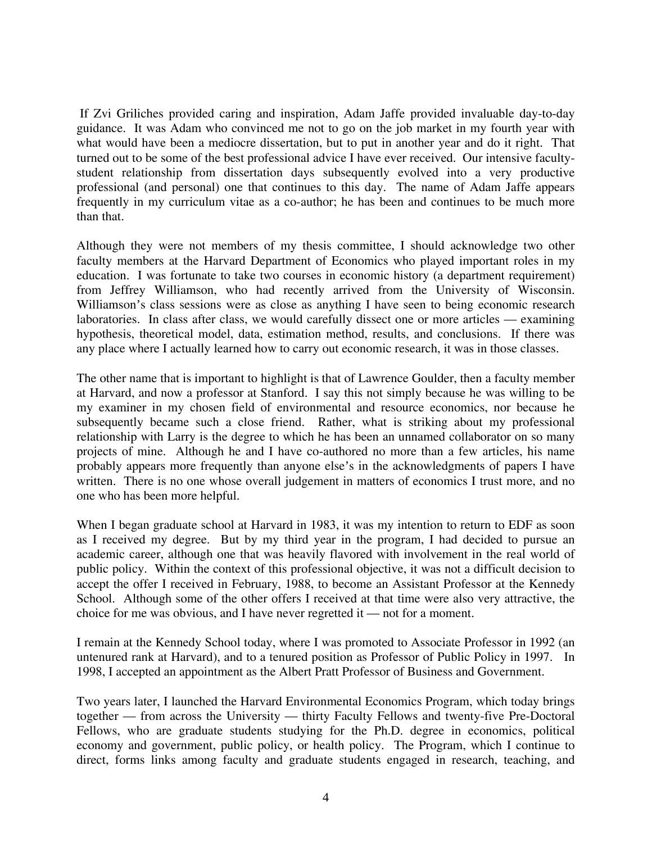If Zvi Griliches provided caring and inspiration, Adam Jaffe provided invaluable day-to-day guidance. It was Adam who convinced me not to go on the job market in my fourth year with what would have been a mediocre dissertation, but to put in another year and do it right. That turned out to be some of the best professional advice I have ever received. Our intensive facultystudent relationship from dissertation days subsequently evolved into a very productive professional (and personal) one that continues to this day. The name of Adam Jaffe appears frequently in my curriculum vitae as a co-author; he has been and continues to be much more than that.

Although they were not members of my thesis committee, I should acknowledge two other faculty members at the Harvard Department of Economics who played important roles in my education. I was fortunate to take two courses in economic history (a department requirement) from Jeffrey Williamson, who had recently arrived from the University of Wisconsin. Williamson's class sessions were as close as anything I have seen to being economic research laboratories. In class after class, we would carefully dissect one or more articles — examining hypothesis, theoretical model, data, estimation method, results, and conclusions. If there was any place where I actually learned how to carry out economic research, it was in those classes.

The other name that is important to highlight is that of Lawrence Goulder, then a faculty member at Harvard, and now a professor at Stanford. I say this not simply because he was willing to be my examiner in my chosen field of environmental and resource economics, nor because he subsequently became such a close friend. Rather, what is striking about my professional relationship with Larry is the degree to which he has been an unnamed collaborator on so many projects of mine. Although he and I have co-authored no more than a few articles, his name probably appears more frequently than anyone else's in the acknowledgments of papers I have written. There is no one whose overall judgement in matters of economics I trust more, and no one who has been more helpful.

When I began graduate school at Harvard in 1983, it was my intention to return to EDF as soon as I received my degree. But by my third year in the program, I had decided to pursue an academic career, although one that was heavily flavored with involvement in the real world of public policy. Within the context of this professional objective, it was not a difficult decision to accept the offer I received in February, 1988, to become an Assistant Professor at the Kennedy School. Although some of the other offers I received at that time were also very attractive, the choice for me was obvious, and I have never regretted it — not for a moment.

I remain at the Kennedy School today, where I was promoted to Associate Professor in 1992 (an untenured rank at Harvard), and to a tenured position as Professor of Public Policy in 1997. In 1998, I accepted an appointment as the Albert Pratt Professor of Business and Government.

Two years later, I launched the Harvard Environmental Economics Program, which today brings together — from across the University — thirty Faculty Fellows and twenty-five Pre-Doctoral Fellows, who are graduate students studying for the Ph.D. degree in economics, political economy and government, public policy, or health policy. The Program, which I continue to direct, forms links among faculty and graduate students engaged in research, teaching, and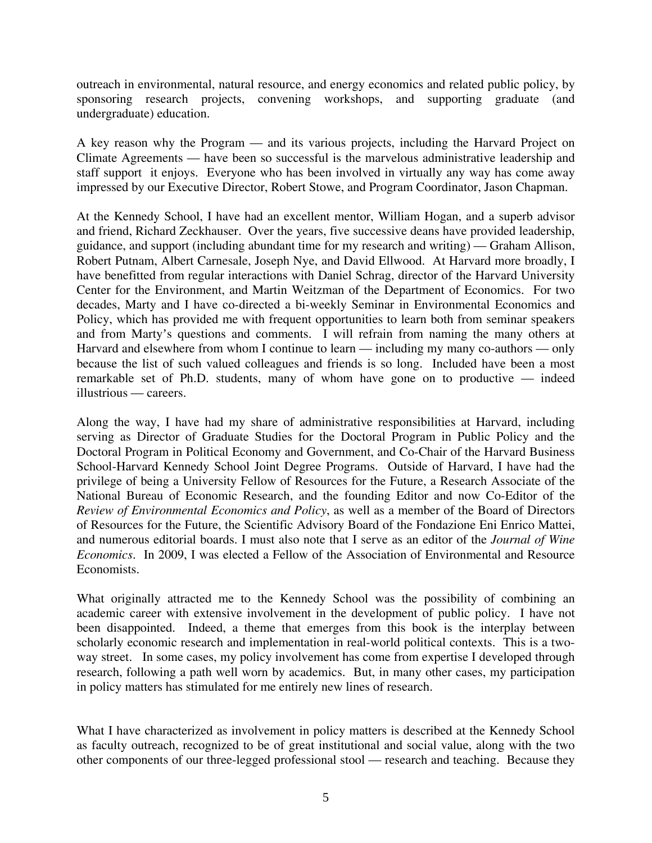outreach in environmental, natural resource, and energy economics and related public policy, by sponsoring research projects, convening workshops, and supporting graduate (and undergraduate) education.

A key reason why the Program — and its various projects, including the Harvard Project on Climate Agreements — have been so successful is the marvelous administrative leadership and staff support it enjoys. Everyone who has been involved in virtually any way has come away impressed by our Executive Director, Robert Stowe, and Program Coordinator, Jason Chapman.

At the Kennedy School, I have had an excellent mentor, William Hogan, and a superb advisor and friend, Richard Zeckhauser. Over the years, five successive deans have provided leadership, guidance, and support (including abundant time for my research and writing) — Graham Allison, Robert Putnam, Albert Carnesale, Joseph Nye, and David Ellwood. At Harvard more broadly, I have benefitted from regular interactions with Daniel Schrag, director of the Harvard University Center for the Environment, and Martin Weitzman of the Department of Economics. For two decades, Marty and I have co-directed a bi-weekly Seminar in Environmental Economics and Policy, which has provided me with frequent opportunities to learn both from seminar speakers and from Marty's questions and comments. I will refrain from naming the many others at Harvard and elsewhere from whom I continue to learn — including my many co-authors — only because the list of such valued colleagues and friends is so long. Included have been a most remarkable set of Ph.D. students, many of whom have gone on to productive — indeed illustrious — careers.

Along the way, I have had my share of administrative responsibilities at Harvard, including serving as Director of Graduate Studies for the Doctoral Program in Public Policy and the Doctoral Program in Political Economy and Government, and Co-Chair of the Harvard Business School-Harvard Kennedy School Joint Degree Programs. Outside of Harvard, I have had the privilege of being a University Fellow of Resources for the Future, a Research Associate of the National Bureau of Economic Research, and the founding Editor and now Co-Editor of the *Review of Environmental Economics and Policy*, as well as a member of the Board of Directors of Resources for the Future, the Scientific Advisory Board of the Fondazione Eni Enrico Mattei, and numerous editorial boards. I must also note that I serve as an editor of the *Journal of Wine Economics*. In 2009, I was elected a Fellow of the Association of Environmental and Resource Economists.

What originally attracted me to the Kennedy School was the possibility of combining an academic career with extensive involvement in the development of public policy. I have not been disappointed. Indeed, a theme that emerges from this book is the interplay between scholarly economic research and implementation in real-world political contexts. This is a twoway street. In some cases, my policy involvement has come from expertise I developed through research, following a path well worn by academics. But, in many other cases, my participation in policy matters has stimulated for me entirely new lines of research.

What I have characterized as involvement in policy matters is described at the Kennedy School as faculty outreach, recognized to be of great institutional and social value, along with the two other components of our three-legged professional stool — research and teaching. Because they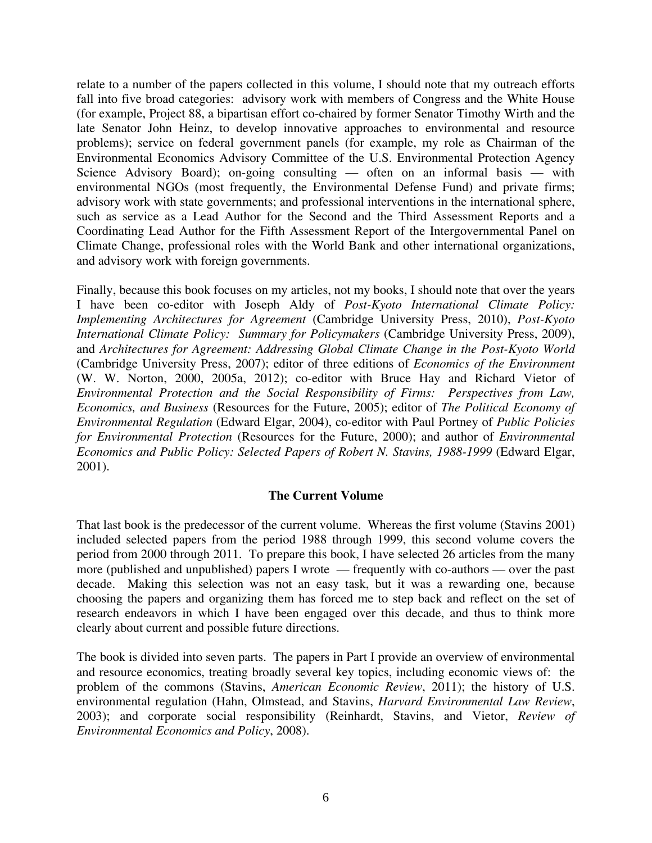relate to a number of the papers collected in this volume, I should note that my outreach efforts fall into five broad categories: advisory work with members of Congress and the White House (for example, Project 88, a bipartisan effort co-chaired by former Senator Timothy Wirth and the late Senator John Heinz, to develop innovative approaches to environmental and resource problems); service on federal government panels (for example, my role as Chairman of the Environmental Economics Advisory Committee of the U.S. Environmental Protection Agency Science Advisory Board); on-going consulting — often on an informal basis — with environmental NGOs (most frequently, the Environmental Defense Fund) and private firms; advisory work with state governments; and professional interventions in the international sphere, such as service as a Lead Author for the Second and the Third Assessment Reports and a Coordinating Lead Author for the Fifth Assessment Report of the Intergovernmental Panel on Climate Change, professional roles with the World Bank and other international organizations, and advisory work with foreign governments.

Finally, because this book focuses on my articles, not my books, I should note that over the years I have been co-editor with Joseph Aldy of *Post-Kyoto International Climate Policy: Implementing Architectures for Agreement* (Cambridge University Press, 2010), *Post-Kyoto International Climate Policy: Summary for Policymakers* (Cambridge University Press, 2009), and *Architectures for Agreement: Addressing Global Climate Change in the Post-Kyoto World* (Cambridge University Press, 2007); editor of three editions of *Economics of the Environment* (W. W. Norton, 2000, 2005a, 2012); co-editor with Bruce Hay and Richard Vietor of *Environmental Protection and the Social Responsibility of Firms: Perspectives from Law, Economics, and Business* (Resources for the Future, 2005); editor of *The Political Economy of Environmental Regulation* (Edward Elgar, 2004), co-editor with Paul Portney of *Public Policies for Environmental Protection* (Resources for the Future, 2000); and author of *Environmental Economics and Public Policy: Selected Papers of Robert N. Stavins, 1988-1999* (Edward Elgar, 2001).

## **The Current Volume**

That last book is the predecessor of the current volume. Whereas the first volume (Stavins 2001) included selected papers from the period 1988 through 1999, this second volume covers the period from 2000 through 2011. To prepare this book, I have selected 26 articles from the many more (published and unpublished) papers I wrote — frequently with co-authors — over the past decade. Making this selection was not an easy task, but it was a rewarding one, because choosing the papers and organizing them has forced me to step back and reflect on the set of research endeavors in which I have been engaged over this decade, and thus to think more clearly about current and possible future directions.

The book is divided into seven parts. The papers in Part I provide an overview of environmental and resource economics, treating broadly several key topics, including economic views of: the problem of the commons (Stavins, *American Economic Review*, 2011); the history of U.S. environmental regulation (Hahn, Olmstead, and Stavins, *Harvard Environmental Law Review*, 2003); and corporate social responsibility (Reinhardt, Stavins, and Vietor, *Review of Environmental Economics and Policy*, 2008).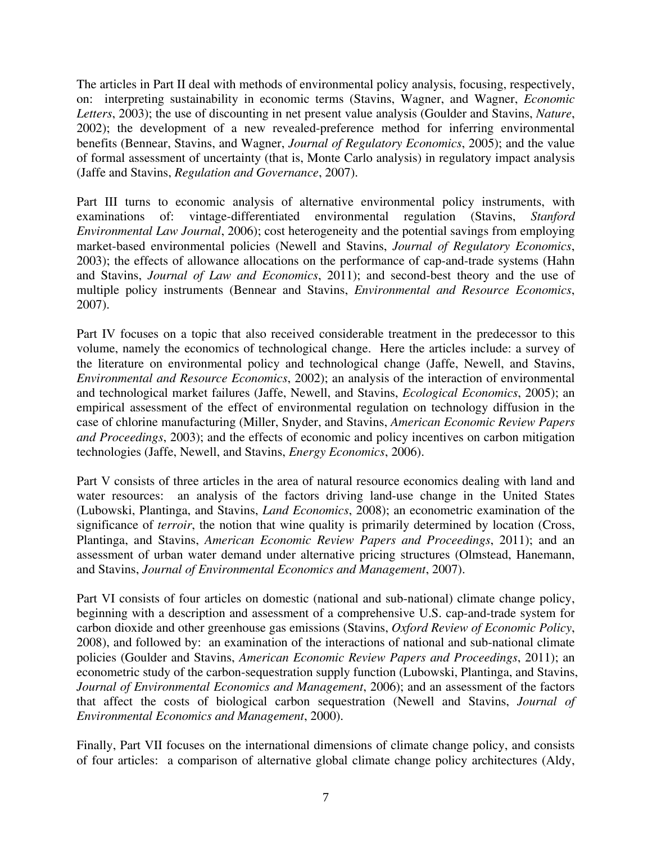The articles in Part II deal with methods of environmental policy analysis, focusing, respectively, on: interpreting sustainability in economic terms (Stavins, Wagner, and Wagner, *Economic Letters*, 2003); the use of discounting in net present value analysis (Goulder and Stavins, *Nature*, 2002); the development of a new revealed-preference method for inferring environmental benefits (Bennear, Stavins, and Wagner, *Journal of Regulatory Economics*, 2005); and the value of formal assessment of uncertainty (that is, Monte Carlo analysis) in regulatory impact analysis (Jaffe and Stavins, *Regulation and Governance*, 2007).

Part III turns to economic analysis of alternative environmental policy instruments, with examinations of: vintage-differentiated environmental regulation (Stavins, *Stanford Environmental Law Journal*, 2006); cost heterogeneity and the potential savings from employing market-based environmental policies (Newell and Stavins, *Journal of Regulatory Economics*, 2003); the effects of allowance allocations on the performance of cap-and-trade systems (Hahn and Stavins, *Journal of Law and Economics*, 2011); and second-best theory and the use of multiple policy instruments (Bennear and Stavins, *Environmental and Resource Economics*, 2007).

Part IV focuses on a topic that also received considerable treatment in the predecessor to this volume, namely the economics of technological change. Here the articles include: a survey of the literature on environmental policy and technological change (Jaffe, Newell, and Stavins, *Environmental and Resource Economics*, 2002); an analysis of the interaction of environmental and technological market failures (Jaffe, Newell, and Stavins, *Ecological Economics*, 2005); an empirical assessment of the effect of environmental regulation on technology diffusion in the case of chlorine manufacturing (Miller, Snyder, and Stavins, *American Economic Review Papers and Proceedings*, 2003); and the effects of economic and policy incentives on carbon mitigation technologies (Jaffe, Newell, and Stavins, *Energy Economics*, 2006).

Part V consists of three articles in the area of natural resource economics dealing with land and water resources: an analysis of the factors driving land-use change in the United States (Lubowski, Plantinga, and Stavins, *Land Economics*, 2008); an econometric examination of the significance of *terroir*, the notion that wine quality is primarily determined by location (Cross, Plantinga, and Stavins, *American Economic Review Papers and Proceedings*, 2011); and an assessment of urban water demand under alternative pricing structures (Olmstead, Hanemann, and Stavins, *Journal of Environmental Economics and Management*, 2007).

Part VI consists of four articles on domestic (national and sub-national) climate change policy, beginning with a description and assessment of a comprehensive U.S. cap-and-trade system for carbon dioxide and other greenhouse gas emissions (Stavins, *Oxford Review of Economic Policy*, 2008), and followed by: an examination of the interactions of national and sub-national climate policies (Goulder and Stavins, *American Economic Review Papers and Proceedings*, 2011); an econometric study of the carbon-sequestration supply function (Lubowski, Plantinga, and Stavins, *Journal of Environmental Economics and Management*, 2006); and an assessment of the factors that affect the costs of biological carbon sequestration (Newell and Stavins, *Journal of Environmental Economics and Management*, 2000).

Finally, Part VII focuses on the international dimensions of climate change policy, and consists of four articles: a comparison of alternative global climate change policy architectures (Aldy,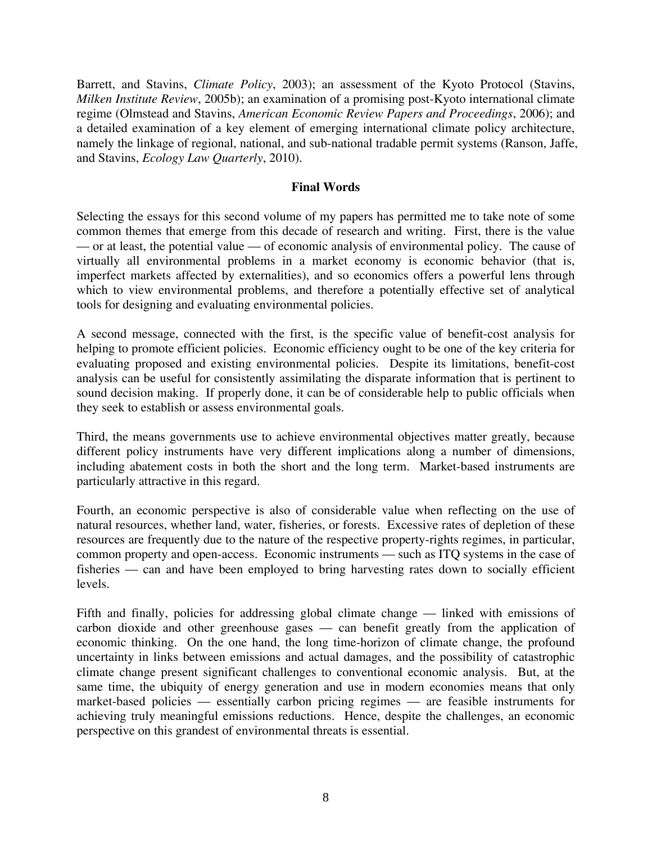Barrett, and Stavins, *Climate Policy*, 2003); an assessment of the Kyoto Protocol (Stavins, *Milken Institute Review*, 2005b); an examination of a promising post-Kyoto international climate regime (Olmstead and Stavins, *American Economic Review Papers and Proceedings*, 2006); and a detailed examination of a key element of emerging international climate policy architecture, namely the linkage of regional, national, and sub-national tradable permit systems (Ranson, Jaffe, and Stavins, *Ecology Law Quarterly*, 2010).

## **Final Words**

Selecting the essays for this second volume of my papers has permitted me to take note of some common themes that emerge from this decade of research and writing. First, there is the value — or at least, the potential value — of economic analysis of environmental policy. The cause of virtually all environmental problems in a market economy is economic behavior (that is, imperfect markets affected by externalities), and so economics offers a powerful lens through which to view environmental problems, and therefore a potentially effective set of analytical tools for designing and evaluating environmental policies.

A second message, connected with the first, is the specific value of benefit-cost analysis for helping to promote efficient policies. Economic efficiency ought to be one of the key criteria for evaluating proposed and existing environmental policies. Despite its limitations, benefit-cost analysis can be useful for consistently assimilating the disparate information that is pertinent to sound decision making. If properly done, it can be of considerable help to public officials when they seek to establish or assess environmental goals.

Third, the means governments use to achieve environmental objectives matter greatly, because different policy instruments have very different implications along a number of dimensions, including abatement costs in both the short and the long term. Market-based instruments are particularly attractive in this regard.

Fourth, an economic perspective is also of considerable value when reflecting on the use of natural resources, whether land, water, fisheries, or forests. Excessive rates of depletion of these resources are frequently due to the nature of the respective property-rights regimes, in particular, common property and open-access. Economic instruments — such as ITQ systems in the case of fisheries — can and have been employed to bring harvesting rates down to socially efficient levels.

Fifth and finally, policies for addressing global climate change — linked with emissions of carbon dioxide and other greenhouse gases — can benefit greatly from the application of economic thinking. On the one hand, the long time-horizon of climate change, the profound uncertainty in links between emissions and actual damages, and the possibility of catastrophic climate change present significant challenges to conventional economic analysis. But, at the same time, the ubiquity of energy generation and use in modern economies means that only market-based policies — essentially carbon pricing regimes — are feasible instruments for achieving truly meaningful emissions reductions. Hence, despite the challenges, an economic perspective on this grandest of environmental threats is essential.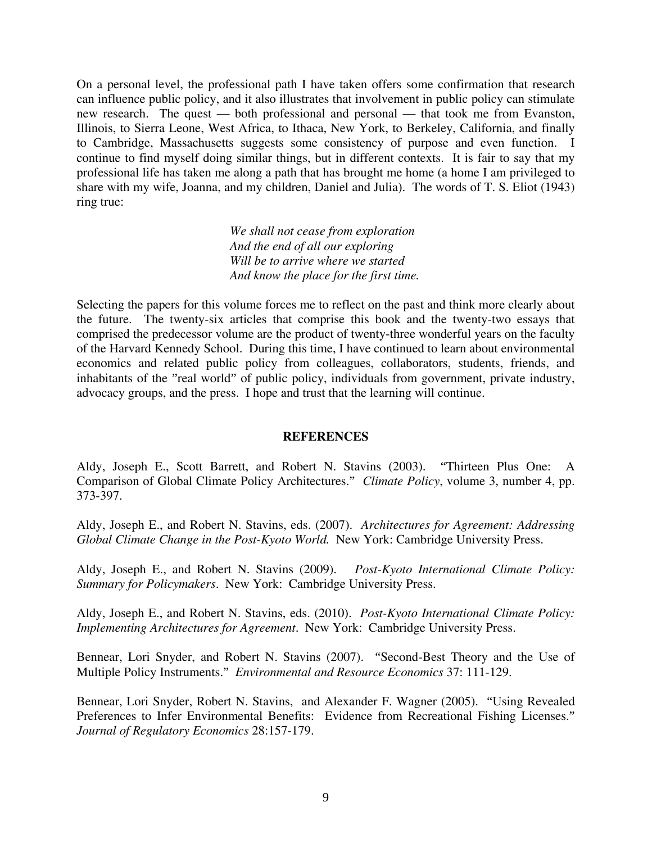On a personal level, the professional path I have taken offers some confirmation that research can influence public policy, and it also illustrates that involvement in public policy can stimulate new research. The quest — both professional and personal — that took me from Evanston, Illinois, to Sierra Leone, West Africa, to Ithaca, New York, to Berkeley, California, and finally to Cambridge, Massachusetts suggests some consistency of purpose and even function. I continue to find myself doing similar things, but in different contexts. It is fair to say that my professional life has taken me along a path that has brought me home (a home I am privileged to share with my wife, Joanna, and my children, Daniel and Julia). The words of T. S. Eliot (1943) ring true:

> *We shall not cease from exploration And the end of all our exploring Will be to arrive where we started And know the place for the first time.*

Selecting the papers for this volume forces me to reflect on the past and think more clearly about the future. The twenty-six articles that comprise this book and the twenty-two essays that comprised the predecessor volume are the product of twenty-three wonderful years on the faculty of the Harvard Kennedy School. During this time, I have continued to learn about environmental economics and related public policy from colleagues, collaborators, students, friends, and inhabitants of the "real world" of public policy, individuals from government, private industry, advocacy groups, and the press. I hope and trust that the learning will continue.

## **REFERENCES**

Aldy, Joseph E., Scott Barrett, and Robert N. Stavins (2003). "Thirteen Plus One: A Comparison of Global Climate Policy Architectures." *Climate Policy*, volume 3, number 4, pp. 373-397.

Aldy, Joseph E., and Robert N. Stavins, eds. (2007). *Architectures for Agreement: Addressing Global Climate Change in the Post-Kyoto World.* New York: Cambridge University Press.

Aldy, Joseph E., and Robert N. Stavins (2009). *Post-Kyoto International Climate Policy: Summary for Policymakers*. New York: Cambridge University Press.

Aldy, Joseph E., and Robert N. Stavins, eds. (2010). *Post-Kyoto International Climate Policy: Implementing Architectures for Agreement*. New York: Cambridge University Press.

Bennear, Lori Snyder, and Robert N. Stavins (2007). "Second-Best Theory and the Use of Multiple Policy Instruments." *Environmental and Resource Economics* 37: 111-129.

Bennear, Lori Snyder, Robert N. Stavins, and Alexander F. Wagner (2005). "Using Revealed Preferences to Infer Environmental Benefits: Evidence from Recreational Fishing Licenses." *Journal of Regulatory Economics* 28:157-179.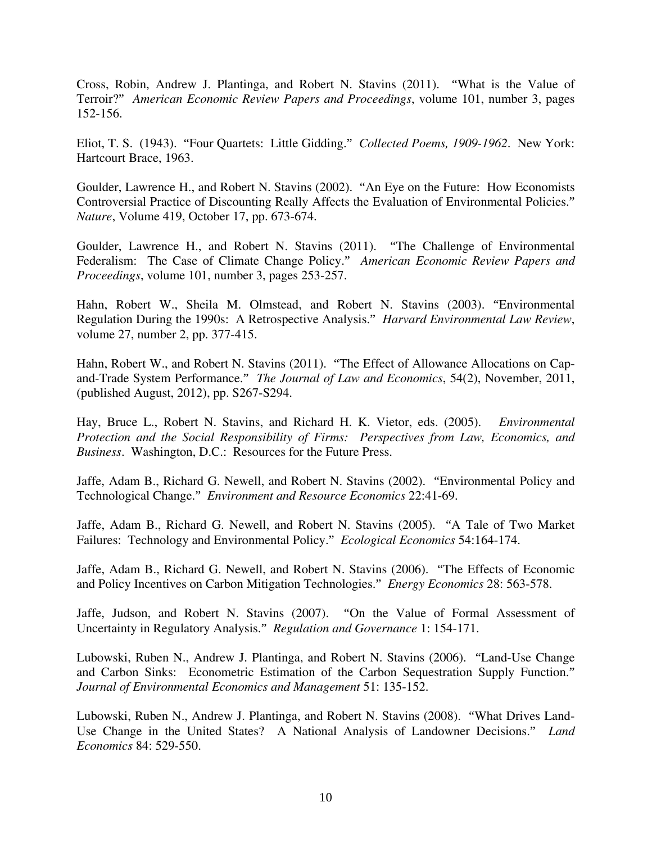Cross, Robin, Andrew J. Plantinga, and Robert N. Stavins (2011). "What is the Value of Terroir?" *American Economic Review Papers and Proceedings*, volume 101, number 3, pages 152-156.

Eliot, T. S. (1943). "Four Quartets: Little Gidding." *Collected Poems, 1909-1962*. New York: Hartcourt Brace, 1963.

Goulder, Lawrence H., and Robert N. Stavins (2002). "An Eye on the Future: How Economists Controversial Practice of Discounting Really Affects the Evaluation of Environmental Policies." *Nature*, Volume 419, October 17, pp. 673-674.

Goulder, Lawrence H., and Robert N. Stavins (2011). "The Challenge of Environmental Federalism: The Case of Climate Change Policy." *American Economic Review Papers and Proceedings*, volume 101, number 3, pages 253-257.

Hahn, Robert W., Sheila M. Olmstead, and Robert N. Stavins (2003). "Environmental Regulation During the 1990s: A Retrospective Analysis." *Harvard Environmental Law Review*, volume 27, number 2, pp. 377-415.

Hahn, Robert W., and Robert N. Stavins (2011). "The Effect of Allowance Allocations on Capand-Trade System Performance." *The Journal of Law and Economics*, 54(2), November, 2011, (published August, 2012), pp. S267-S294.

Hay, Bruce L., Robert N. Stavins, and Richard H. K. Vietor, eds. (2005). *Environmental Protection and the Social Responsibility of Firms: Perspectives from Law, Economics, and Business*. Washington, D.C.: Resources for the Future Press.

Jaffe, Adam B., Richard G. Newell, and Robert N. Stavins (2002). "Environmental Policy and Technological Change." *Environment and Resource Economics* 22:41-69.

Jaffe, Adam B., Richard G. Newell, and Robert N. Stavins (2005). "A Tale of Two Market Failures: Technology and Environmental Policy." *Ecological Economics* 54:164-174.

Jaffe, Adam B., Richard G. Newell, and Robert N. Stavins (2006). "The Effects of Economic and Policy Incentives on Carbon Mitigation Technologies." *Energy Economics* 28: 563-578.

Jaffe, Judson, and Robert N. Stavins (2007). "On the Value of Formal Assessment of Uncertainty in Regulatory Analysis." *Regulation and Governance* 1: 154-171.

Lubowski, Ruben N., Andrew J. Plantinga, and Robert N. Stavins (2006). "Land-Use Change and Carbon Sinks: Econometric Estimation of the Carbon Sequestration Supply Function." *Journal of Environmental Economics and Management* 51: 135-152.

Lubowski, Ruben N., Andrew J. Plantinga, and Robert N. Stavins (2008). "What Drives Land-Use Change in the United States? A National Analysis of Landowner Decisions." *Land Economics* 84: 529-550.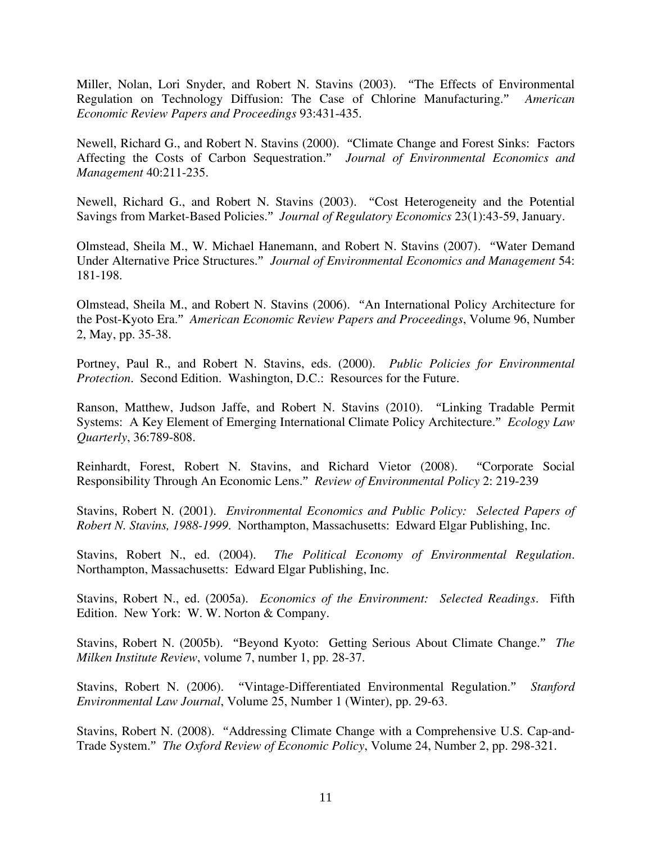Miller, Nolan, Lori Snyder, and Robert N. Stavins (2003). "The Effects of Environmental Regulation on Technology Diffusion: The Case of Chlorine Manufacturing." *American Economic Review Papers and Proceedings* 93:431-435.

Newell, Richard G., and Robert N. Stavins (2000). "Climate Change and Forest Sinks: Factors Affecting the Costs of Carbon Sequestration." *Journal of Environmental Economics and Management* 40:211-235.

Newell, Richard G., and Robert N. Stavins (2003). "Cost Heterogeneity and the Potential Savings from Market-Based Policies." *Journal of Regulatory Economics* 23(1):43-59, January.

Olmstead, Sheila M., W. Michael Hanemann, and Robert N. Stavins (2007). "Water Demand Under Alternative Price Structures." *Journal of Environmental Economics and Management* 54: 181-198.

Olmstead, Sheila M., and Robert N. Stavins (2006). "An International Policy Architecture for the Post-Kyoto Era." *American Economic Review Papers and Proceedings*, Volume 96, Number 2, May, pp. 35-38.

Portney, Paul R., and Robert N. Stavins, eds. (2000). *Public Policies for Environmental Protection.* Second Edition. Washington, D.C.: Resources for the Future.

Ranson, Matthew, Judson Jaffe, and Robert N. Stavins (2010). "Linking Tradable Permit Systems: A Key Element of Emerging International Climate Policy Architecture." *Ecology Law Quarterly*, 36:789-808.

Reinhardt, Forest, Robert N. Stavins, and Richard Vietor (2008). "Corporate Social Responsibility Through An Economic Lens." *Review of Environmental Policy* 2: 219-239

Stavins, Robert N. (2001). *Environmental Economics and Public Policy: Selected Papers of Robert N. Stavins, 1988-1999*. Northampton, Massachusetts: Edward Elgar Publishing, Inc.

Stavins, Robert N., ed. (2004). *The Political Economy of Environmental Regulation*. Northampton, Massachusetts: Edward Elgar Publishing, Inc.

Stavins, Robert N., ed. (2005a). *Economics of the Environment: Selected Readings*. Fifth Edition. New York: W. W. Norton & Company.

Stavins, Robert N. (2005b). "Beyond Kyoto: Getting Serious About Climate Change." *The Milken Institute Review*, volume 7, number 1, pp. 28-37.

Stavins, Robert N. (2006). "Vintage-Differentiated Environmental Regulation." *Stanford Environmental Law Journal*, Volume 25, Number 1 (Winter), pp. 29-63.

Stavins, Robert N. (2008). "Addressing Climate Change with a Comprehensive U.S. Cap-and-Trade System." *The Oxford Review of Economic Policy*, Volume 24, Number 2, pp. 298-321.